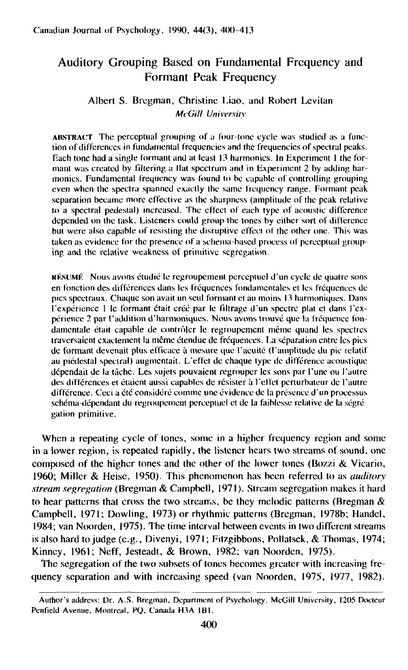# Auditory Grouping Based on Fundamental Frequency and Formant Peak Frequency

## Albert S. Bregman, Christine Liao, and Robert Levilan *McGill University*

ABSTRACT The perceptual grouping of a four-tone cycle was studied as a function of differences in fundamental frequencies and the frequencies of spectral peaks. F.ach tone had a single formant and at least 13 harmonics. In Kxperimcnt 1 the formant was created by filtering a Hat spectrum and in Experiment 2 by adding harmonics. Fundamental frequency was found to be capable of controlling grouping even when the spectra spanned exactly the same frequency range. Formant peak separation became more effective as the sharpness (amplitude of the peak relative to a spectral pedestal) increased. The effect of each type of acoustic difference depended on the task. Listeners could group the tones by either sort of difference but were also capable of resisting the disruptive effect of the other one. This was taken as evidence for the presence of a schema-based process of perceptual grouping and the relative weakness of primitive segregation.

RÉSUMÉ Nous avons étudié le regroupement perceptuel d'un cycle de quatre sons en fonction des differences dans les frequences londamentales et les frequences de pics spectraux. Chaque son avait un scul formant et au moins 13 harmoniques. Dans ('experience 1 Ic formant ctait eree par le filtrage d'un spectre plat et dans I'cxperience 2 par I'addition d'harmoniques. Nous avons trouve que la frequence fondamentale était capable de contrôler le regroupement même quand les spectres traversaient exactement la même étendue de fréquences. La séparation entre les pics de formant devenait plus efficace à mesure que l'acuité (l'amplitude du pic relatif au picdcstal spectral) augmcntail. L'elfet dc chaque type dc difference acoustique dépendait de la tâche. Les sujets pouvaient regrouper les sons par l'une ou l'autre des différences et étaient aussi capables de résister à l'effet perturbateur de l'autre différence. Ceci a été considéré comme une évidence de la présence d'un processus schema-dependant du regroupement percepluel et dc la faiblesse relative de la scgre gation primitive.

When a repeating cycle of tones, some in a higher frequency region and some in a lower region, is repeated rapidly, the listener hears two streams of sound, one composed of the higher tones and the other of the lower tones (Bozzi  $&$  Vicario, 1960; Miller & Heise, 1950). This phenomenon has been referred to as *auditory stream segregation* (Bregman & Campbell, 1971). Stream segregation makes it hard to hear patterns that cross the two streams, be they melodic patterns (Bregman  $\&$ Campbell, 1971; Dowling, 1973) or rhythmic patterns (Bregman, 1978b; Handel, 1984; van Noorden, 1975). The time interval between events in two different streams is also hard to judge (e.g., Divenyi, 1971; Fitzgibbons, Pollatsek, & Thomas, 1974; Kinney, 1961; Neff, Jesteadt, *&* Brown, 1982; van Noorden, 1975).

The segregation of the two subsets of tones becomes greater with increasing frequency separation and with increasing speed (van Noorden, 1975, 1977, 1982).

Author's address: Dr. A.S. Bregman, Department of Psychology, McGill University, 1205 Docteur Penfield Avenue, Montreal, PQ, Canada H3A 1B1.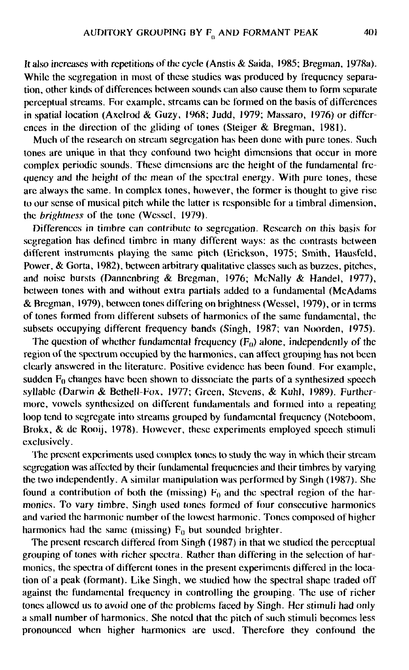It also increases with repetitions of the cycle (Anstis & Saida, 1985; Bregman, 1978a). While the segregation in most of these studies was produced by frequency separation, other kinds of differences between sounds can also cause them to form separate perceptual streams. For example, streams can be formed on the basis of differences in spatial location (Axclrod & Guzy, 1968; Judd, 1979; Massaro, 1976) or differences in the direction of the gliding of tones (Steiger & Bregman, 1981).

Much of the research on stream segregation has been done with pure tones. Such tones are unique in that they confound two height dimensions that occur in more complex periodic sounds. These dimensions are the height of the fundamental frequency and the height of the mean of the spectral energy. With pure tones, these are always the same. In complex tones, however, the former is thought to give rise to our sense of musical pitch while the latter is responsible for a timbral dimension, the *brightness* of the tone (Wcssel, 1979).

Differences in timbre can contribute to segregation. Research on this basis for segregation has defined timbre in many different ways: as the contrasts between different instruments playing the same pitch (Erickson, 1975; Smith, Hausfeld, Power, & Gorta, 1982), between arbitrary qualitative classes such as buzzes, pitches, and noise bursts (Dannenbring & Bregman, 1976; McNally & Handel, 1977), between tones with and without extra partials added to a fundamental (McAdams & Bregman, 1979), between tones differing on brightness (Wessel, 1979), or in terms of tones formed from different subsets of harmonics of the same fundamental, the subsets occupying different frequency bands (Singh, 1987; van Noorden, 1975).

The question of whether fundamental frequency  $(F_0)$  alone, independently of the region of the spectrum occupied by the harmonics, can affect grouping has not been clearly answered in the literature. Positive evidence has been found. For example, sudden  $F_0$  changes have been shown to dissociate the parts of a synthesized speech syllabic (Darwin & Bethell-Fox, 1977; Green, Stevens, & Kuhl, 1989). Furthermore, vowels synthesized on different fundamentals and formed into a repeating loop tend to segregate into streams grouped by fundamental frequency (Noteboom, Brokx, & de Rooij, 1978). However, these experiments employed speech stimuli exclusively.

The present experiments used complex tones to study the way in which their stream segregation was affected by their fundamental frequencies and their timbres by varying the two independently. A similar manipulation was performed by Singh (1987). She found a contribution of both the (missing)  $F_0$  and the spectral region of the harmonics. To vary timbre, Singh used tones formed of four consecutive harmonics and varied the harmonic number of the lowest harmonic. Tones composed of higher harmonics had the same (missing)  $F_0$  but sounded brighter.

The present research differed from Singh (1987) in that we studied the perceptual grouping of tones with richer spectra. Rather than differing in the selection of harmonics, the spectra of different tones in the present experiments differed in the location of a peak (formant). Like Singh, we studied how the spectral shape traded off against the fundamental frequency in controlling the grouping. The use of richer tones allowed us to avoid one of the problems faced by Singh. Her stimuli had only a small number of harmonics. She noted that the pitch of such stimuli becomes less pronounced when higher harmonics are used. Therefore they confound the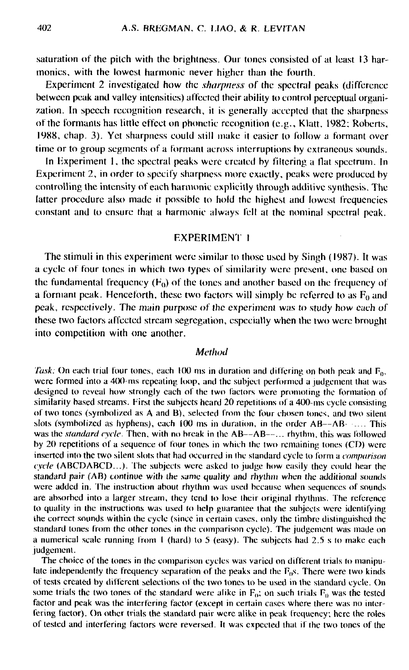saturation of the pitch with the brightness. Our tones consisted of at least 13 harmonics, with the lowest harmonic never higher than the fourth.

Experiment 2 investigated how the *sharpness* of the spectral peaks (difference between peak and valley intensities) affected their ability to control perceptual organization. In speech recognition research, it is generally accepted that the sharpness of the formants has little effect on phonetic recognition (e.g., Klatt, 1982: Roberts, 1988, chap. 3). Yet sharpness could still make it easier to follow a formant over time or to group segments of a formant across interruptions by extraneous sounds.

In Hxperiment 1, the spectral peaks were created by filtering a flat spectrum. In Experiment 2, in order to specify sharpness more exactly, peaks were produced by controlling the intensity of each harmonic explicitly through additive synthesis. The latter procedure also made it possible to hold the highest and lowest frequencies constant and to ensure that a harmonic always fell at the nominal spectral peak.

## EXPERIMENT I

The stimuli in this experiment were similar to those used by Singh (1987). It was a cycle of four tones in which two types of similarity were present, one based on the fundamental frequency  $(F_0)$  of the tones and another based on the frequency of a formant peak. Henceforth, these two factors will simply be referred to as  $F_0$  and peak, respectively. The main purpose of the experiment was to study how each of these two factors affected stream segregation, especially when the two were brought into competition with one another.

## Method

*Task:* On each trial four tones, each  $100$  ms in duration and differing on both peak and  $F_0$ , were formed into a 400-ms repeating loop, and the subject performed a judgement that was designed to reveal how strongly each of the two factors were promoting the formation of similarity based streams. First the subjects heard 20 repetitions of a 400-ms cycle consisting of two tones (symbolized as A and B), selected from the four chosen tones, and two silent slots (symbolized as hyphens), each 100 ms in duration, in the order AB—AB- .... This was the *standard cycle*. Then, with no break in the AB--AB--... rhythm, this was followed by 20 repetitions of a sequence of four tones in which the two remaining tones (CD) were inserted into the two silent slots that had occurred in Ihe standard cycle to form a *comparison cycle* (ABCDABCD...). The subjects were asked to judge how easily they could hear the standard pair (AB) continue with the same quality and rhythm when the additional sounds were added in. The instruction about rhythm was used because when sequences of sounds are absorbed into a larger stream, they tend to lose their original rhythms. The reference to quality in the instructions was used to help guarantee that the subjects were identifying the correct sounds within the cycle (since in certain cases, only the timbre distinguished the standard tones from the other tones in the comparison cycle). The judgement was made on a numerical scale running from I (hard) to 5 (easy). The subjects had 2.5 s to make each judgement.

The choice of the tones in the comparison cycles was varied on different trials to manipulate independently the frequency separation of the peaks and the  $F<sub>0</sub>s$ . There were two kinds of tests created by different selections of the two lones to be used in the standard cycle. On some trials the two tones of the standard were alike in  $F_0$ ; on such trials  $F_0$  was the tested factor and peak was the interfering factor (except in certain cases where there was no interfering factor). On other trials the standard pair were alike in peak frequency, here the roles of tested and interfering factors were reversed. It was expected that if the two tones of the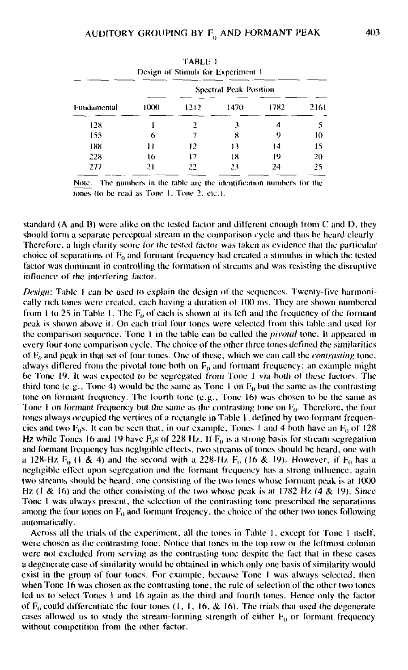|             |      |                        | Design of Stimuli for Experiment 1 |      |      |
|-------------|------|------------------------|------------------------------------|------|------|
| Fundamental |      | Spectral Peak Position |                                    |      |      |
|             | 1000 | 1212                   | 1470                               | 1782 | 2161 |
| 128         |      |                        | ٦                                  | 4    |      |
| 155         | 6    |                        | 8                                  | 9    | 10   |
| 188         | ,,   | 12                     | 13                                 | 14   | 15   |
| 228         | 16   | 17                     | 18                                 | 19   | 20   |
| 277         | 21   | 22                     | 23                                 | 24   | 25   |

| TABLE 1                            |  |
|------------------------------------|--|
| Design of Stimuli for Experiment 1 |  |

Note. The numbers in the table are the identification numbers for the tones (to be read as Tone 1, Tone 2, etc.)

standard (A and B) were alike on the tested factor and different enough from C and D, they should form a separate perceptual stream in the comparison cycle and thus be heard clearly. Therefore, a high clarity score for the tested factor was taken as evidence that the particular choice of separations of  $\mathrm{F_{0}}$  and formant frequency had created a stimulus in which the tested factor was dominant in controlling the formation of streams and was resisting the disruptive influence of the interfering factor.

*Design:* Table I can be used to explain the design of the sequences. Twenty-five harmonically rich tones were created, each having a duration of 100 ms. They are shown numbered from 1 to 25 in Table 1. The  $F<sub>0</sub>$  of each is shown at its left and the frequency of the formant peak is shown above it. On each trial four (ones were selected from this table and used for the comparison sequence. Tone 1 in the table can be called the *pivotal* tone. It appeared in every four-tone comparison cycle. The choice of the other ihree (ones defined the similarities of  $F<sub>0</sub>$  and peak in that set of four tones. One of these, which we can call the *contrasting* tone, always differed from the pivotal tone both on  $F_0$  and formant frequency; an example might be Tone 19. It was expected to be segregated from Tone 1 via both of these factors. The third tone (e.g., Tone 4) would be the same as Tone I on  $F_0$  but the same as the contrasting tone on formant frequency. The fourth tone  $(e.g.,$  Tone 16) was chosen to be the same as Tone 1 on formant frequency but the same as the contrasting tone on  $F_0$ . Therefore, the four tones always occupied Ihe vertices of a rectangle in Table I, defined by two formant frequencies and two  $F_0s$ . It can be seen that, in our example, Tones 1 and 4 both have an  $F_0$  of 128 Hz while Tones 16 and 19 have  $F_0$ s of 228 Hz. If  $F_0$  is a strong basis for stream segregation and formant frequency has negligible effects, two streams of tones should be heard, one with a 128-Hz  $F_0$  (I & 4) and the second with a 228-Hz  $F_0$  (16 & 19). However, if  $F_0$  has a negligible effect upon segregation and the formanl frequency has a strong influence, again two streams should be heard, one consisting of the two tones whose formant peak is at 1000 Hz  $(1 \& 16)$  and the other consisting of the two whose peak is at 1782 Hz  $(4 \& 19)$ . Since Tone 1 was always present, the selection of the contrasting lone prescribed the separations among the four tones on  $F_0$  and formant freqency, the choice of the other two tones following automatically.

Across all the trials of the experiment, all the tones in Table 1. except for Tone 1 itself, were chosen as (he contrasting tone. Notice that tones in Ihe top row or the leftmost column were not excluded from serving as ihe contrasting lone despite the fact that in these cases a degenerate ease of similarity would be obtained in which only one basis of similarity would exist in the group of four tones. For example, because Tone 1 was always selected, then when Tone. 16 was chosen as the contrasting tone, the rule of selection of the other two tones led us to select Tones I and 16 again as the third and fourth tones. Hence only the factor of  $F_0$  could differentiate the four tones (1, 1, 16, & 16). The trials that used the degenerate cases allowed us to study the stream-forming strength of either  $F_0$  or formant frequency without competition from the other factor.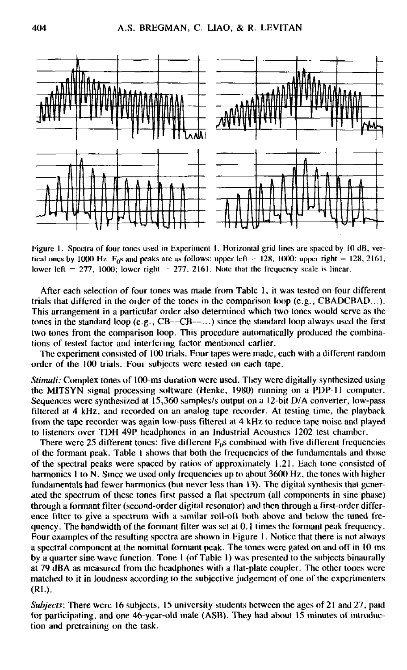

Figure 1. Spectra of four tones used in Experiment I. Horizontal grid lines are spaced by 10 dB, vertical ones by 1000 Hz. F<sub>0</sub>s and peaks are as follows: upper left  $\approx$  128, 1000; upper right = 128, 2161; lower left  $= 277$ , 1000; lower right  $= 277$ , 2161. Note that the frequency scale is linear.

After each selection of four tones was made from Table 1, it was tested on four different trials that differed in the order of the tones in the comparison loop (e.g., CBADCBAD...). This arrangement in a particular order also determined which two tones would serve as the tones in the standard loop  $(e.g., CB--CB---)$  since the standard loop always used the first two tones from the comparison loop. This procedure automatically produced the combinations of tested factor and interfering factor mentioned earlier.

The experiment consisted of 100 trials. Four tapes were made, each with a different random order of the 100 trials. Four subjects were tested on each tape.

*Stimuli:* Complex tones of 100-ms duration were used. They were digitally synthesized using the MITSYN signal processing software (Henke, 1980) running on a PDP-11 computer. Sequences were synthesized at 15,360 samples/s output on a 12-bit D/A converter, low-pass filtered at 4 kHz, and recorded on an analog tape recorder. At testing time, the playback from the tape recorder was again low-pass filtered at 4 kHz to reduce tape noise and played to listeners over TDH-49P headphones in an Industrial Acoustics 1202 test chamber.

There were 25 different tones: five different  $F_0$ s combined with five different frequencies of the formant peak. Table 1 shows that both the frequencies of the fundamentals and those of the spectral peaks were spaced by ratios of approximately 1.21. Bach tone consisted of harmonics 1 to N. Since we used only frequencies up to about 3600 Hz, the tones with higher fundamentals had fewer harmonics (but never less than 13). The digital synthesis that generated the spectrum of these tones first passed a flat spectrum (all components in sine phase) through a formant filter (second-order digital resonator) and then through a first-order difference filter to give a spectrum with a similar roll-oil both above and below the tuned frequency. The bandwidth of the formant filter was set at 0.1 times the formant peak frequency. Four examples of the resulting spectra are shown in Figure I. Notice that there is not always a spectral component at the nominal formant peak. The tones were gated on and off in 10 ms by a quarter sine wave function. Tone I (of Table 1) was presented to the subjects binaurally at 79 dBA as measured from the headphones with a flat-plate coupler. The other tones were matched to it in loudness according to the subjective judgement of one of the experimenters (RL).

*Subjects:* There were 16 subjects, 15 university students between the ages of 21 and 27, paid for participating, and one 46-year-old male (ASB). They had about 15 minutes of introduction and prctraining on the task.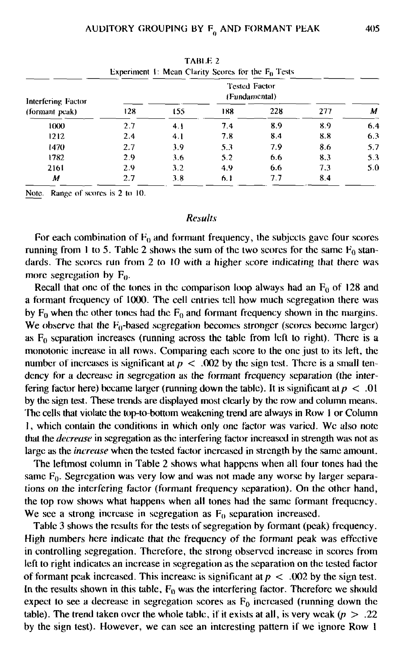| Experiment 1: Mean Clarity Scores for the $F_0$ Tests |     |     |                                |     |     |     |  |
|-------------------------------------------------------|-----|-----|--------------------------------|-----|-----|-----|--|
| Interfering Factor<br>(formant peak)                  |     |     | Tested Factor<br>(Fundamental) |     |     |     |  |
|                                                       | 128 | 155 | 188                            | 228 | 277 | м   |  |
| 1000                                                  | 2.7 | 4.1 | 7.4                            | 8.9 | 8.9 | 6.4 |  |
| 1212                                                  | 2.4 | 4.1 | 7.8                            | 8.4 | 8.8 | 6.3 |  |
| 1470                                                  | 2.7 | 3.9 | 5.3                            | 7.9 | 8.6 | 5.7 |  |
| 1782                                                  | 2.9 | 3.6 | 5.2                            | 6.6 | 8.3 | 5.3 |  |
| 2161                                                  | 2.9 | 3.2 | 4.9                            | 6.6 | 7.3 | 5.0 |  |
| М                                                     | 2.7 | 3.8 | 6.1                            | 7.7 | 8.4 |     |  |

TARLE 2

Note. Range of scores is 2 to 10.

### *Results*

For each combination of  $F_0$  and formant frequency, the subjects gave four scores running from 1 to 5. Table 2 shows the sum of the two scores for the same  $F_0$  standards. The scores run from 2 to 10 with a higher score indicating that there was more segregation by  $F_0$ .

Recall that one of the tones in the comparison loop always had an  $F_0$  of 128 and a formant frequency of 1000. The cell entries tell how much segregation there was by  $F_0$  when the other tones had the  $F_0$  and formant frequency shown in the margins. We observe that the  $F_0$ -based segregation becomes stronger (scores become larger) as  $F_0$  separation increases (running across the table from left to right). There is a monotonic increase in all rows. Comparing each score to the one just to its left, the number of increases is significant at  $p < .002$  by the sign test. There is a small tendency for a decrease in segregation as the formant frequency separation (the interfering factor here) became larger (running down the table). It is significant at  $p < .01$ by the sign test. These trends are displayed most clearly by the row and column means. The cells that violate the top-to-bottom weakening trend are always in Row 1 or Column 1, which contain the conditions in which only one factor was varied. We also note that the *decrease* in segregation as the interfering factor increased in strength was not as large as the *increase* when the tested factor increased in strength by the same amount.

The leftmost column in Table 2 shows what happens when all four tones had the same  $F_0$ . Segregation was very low and was not made any worse by larger separations on the interfering factor (formant frequency separation). On the other hand, the top row shows what happens when all tones had the same formant frequency. We see a strong increase in segregation as  $F_0$  separation increased.

Table 3 shows the results for the tests of segregation by formant (peak) frequency. High numbers here indicate that the frequency of the formant peak was effective in controlling segregation. Therefore, the strong observed increase in scores from left to right indicates an increase in segregation as the separation on the tested factor of formant peak increased. This increase is significant at  $p < .002$  by the sign test. In the results shown in this table,  $F_0$  was the interfering factor. Therefore we should expect to see a decrease in segregation scores as  $F_0$  increased (running down the table). The trend taken over the whole table, if it exists at all, is very weak  $(p > .22)$ by the sign test). However, we can see an interesting pattern if we ignore Row 1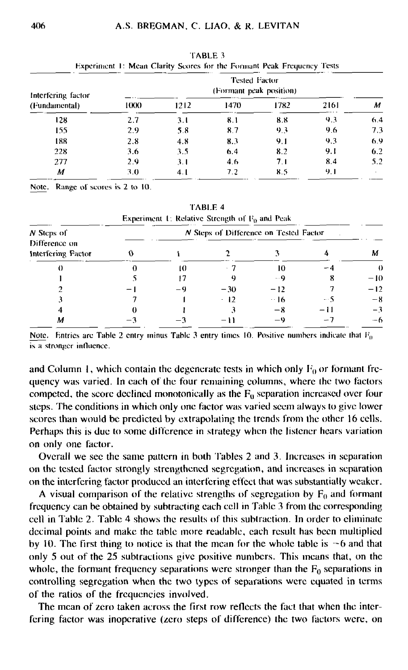| Interfering factor<br>(Fundamental) | Tested Factor<br>(Formant peak position) |      |                  |      |      |     |
|-------------------------------------|------------------------------------------|------|------------------|------|------|-----|
|                                     | 1000                                     | 1212 | 1470             | 1782 | 2161 | м   |
| 128                                 | 2.7                                      | 3.1  | 8.1              | 8.8  | 9.3  | 6.4 |
| 155                                 | 2.9                                      | 5.8  | 8.7              | 9.3  | 9.6  | 7.3 |
| 188                                 | 2.8                                      | 4.8  | 8.3              | 9.1  | 9.3  | 6.9 |
| 228                                 | 3.6                                      | 3.5  | 6.4              | 8.2  | 9.1  | 6.2 |
| 277                                 | 2.9                                      | 3.1  | 4.6 <sub>5</sub> | 7.1  | 8.4  | 5.2 |
| М                                   | 3.0                                      | 4.1  | 7.2              | 8.5  | 9.1  |     |

TABLE 3 Kxpcriiucnl 1: Mean Clarity Scores for the Forinanl Peak Frequency Tests

Note. Range of scores is 2 to 10.

|                                                   |                                        |    | Experiment 1: Relative Strength of $F_0$ and Peak |            |                          |       |  |  |
|---------------------------------------------------|----------------------------------------|----|---------------------------------------------------|------------|--------------------------|-------|--|--|
| N Steps of<br>Difference on<br>Interfering Factor | N Steps of Difference on Tested Factor |    |                                                   |            |                          |       |  |  |
|                                                   |                                        |    |                                                   |            |                          | м     |  |  |
| $_{0}$                                            |                                        | 10 |                                                   | ю          |                          | O     |  |  |
|                                                   |                                        | 17 |                                                   | - 9        | x                        | $-10$ |  |  |
|                                                   |                                        | -9 | $-30$                                             | $-12$      |                          | $-12$ |  |  |
|                                                   |                                        |    | $\cdot$ 12                                        | $\cdot$ 16 | $-5$                     | $-8$  |  |  |
|                                                   |                                        |    |                                                   | — X        | -11                      | $-3$  |  |  |
| м                                                 |                                        |    |                                                   | — い        | $\overline{\phantom{a}}$ | -6    |  |  |

TABLE 4

Note. Entries are Table 2 entry minus Table 3 entry times 10. Positive numbers indicate that  $F_0$ is *n* stronger influence.

and Column 1, which contain the degenerate tests in which only  $F_0$  or formant frequency was varied. In each of the four remaining columns, where the two factors competed, the score declined monotonically as the  $F_0$  separation increased over four steps. The conditions in which only one factor was varied seem always to give lower scores than would be predicted by extrapolating the trends from the other 16 cells. Perhaps this is due to some difference in strategy when the listener hears variation on only one factor.

Overall we see the same pattern in both Tables 2 and 3. Increases in separation on the tested factor strongly strengthened segregation, and increases in separation on the interfering factor produced an interfering effect that was substantially weaker.

A visual comparison of the relative strengths of segregation by  $F_0$  and formant frequency can be obtained by subtracting each cell in Table 3 from the corresponding cell in Table 2. Table 4 shows the results of this subtraction. In order to eliminate decimal points and make the table more readable, each result has been multiplied by 10. The first thing to notice is that the mean for the whole table is  $-6$  and that only 5 out of the 25 subtractions give positive numbers. This means that, on the whole, the formant frequency separations were stronger than the  $F_0$  separations in controlling segregation when the two types of separations were equated in terms of the ratios of the frequencies involved.

The mean of zero taken across the first row reflects the fact that when the interfering factor was inoperative (zero steps of difference) the two factors were, on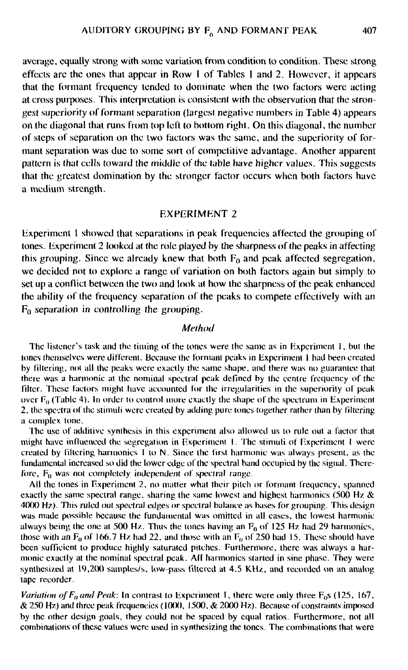average, equally strong with some variation from condition to condition. These strong effects are the ones that appear in Row I of Tables 1 and 2. However, it appears that the fonnant frequency tended to dominate when the two factors were acting at cross purposes. This interpretation is consistent with the observation that the strongest superiority of formant separation (largest negative numbers in Table 4) appears on the diagonal that runs from top left to bottom right. On this diagonal, the number of steps of separation on the two factors was the same, and the superiority of formant separation was due to some sort of competitive advantage. Another apparent pattern is that cells toward the middle of the (able have higher values. This suggests that the greatest domination by the stronger factor occurs when both factors have a medium strength.

#### EXPERIMENT 2

Experiment 1 showed that separations in peak frequencies affected the grouping of tones. Experiment 2 looked at the role played by the sharpness of the peaks in affecting this grouping. Since we already knew that both  $F_0$  and peak affected segregation, we decided not to explore a range of variation on both factors again but simply to set up a conflict between the two and look at how the sharpness of the peak enhanced the ability of the frequency separation of the peaks to compete effectively with an Fo separation in controlling the grouping.

### *Method*

The listener's task and the timing of the tones were the same as in Experiment 1, bul the loncs themselves were different. Because the fornuint peaks in Experiment 1 had been created by tillering, not all the peaks were exactly the same shape, and there was no guarantee that there was a harmonic ut the nominal spectral peak defined by the centre frequency of the filter. These factors might have accounted for the irregularities in the superiority of peak over  $F_0$  (Table 4). In order to control more exactly the shape of the spectrum in Experiment 2, the spectra of the stimuli were created by adding pure tones together rather than by filtering a complex lone.

The use of additive synthesis in this experiment also allowed us to rule out a factor that might have influenced the segregation in Experiment I. The stimuli of Experiment I were created by filtering harmonics I to N. Since the first harmonic was always present, as the fundamental increased so did the lower edge of the spectral band occupied by the signal. Therefore,  $F_0$  was not completely independent of spectral range.

All the tones in Experiment 2, no matter what their pitch or formant frequency, spanned exactly the same spectral range, sharing the same lowest and highest harmonics (500 Hz  $\&$ 4000 Hz). This ruled out spectral edges or spectral balance as bases for grouping. This design was made possible because the fundamental was omitted in all eases, the lowest harmonic always being the one at 500 Hz. Thus the tones having an  $F_0$  of 125 Hz had 29 harmonies, those with an  $F_0$  of 166.7 Hz had 22, and those with an  $F_0$  of 250 had 15. These should have been sufficient to produce highly saturated pitches. Furthermore, there was always a harmonic exactly at the nominal spectral peak. All harmonies started in sine phase. They were synthesized at 19,200 samples/s, low-pass filtered at 4.5 KHz, and recorded on an analog tape recorder.

*Variation of*  $F_0$  *and Peak:* In contrast to Experiment 1, there were only three  $F_0$ s (125, 167,  $\&$  250 Hz) and three peak frequencies (1000, 1500,  $\&$  2000 Hz). Because of constraints imposed by the other design goals, they could not be spaced by equal ratios. Furthermore, not all combinations of these values were used in synthesizing the tones. The combinations that were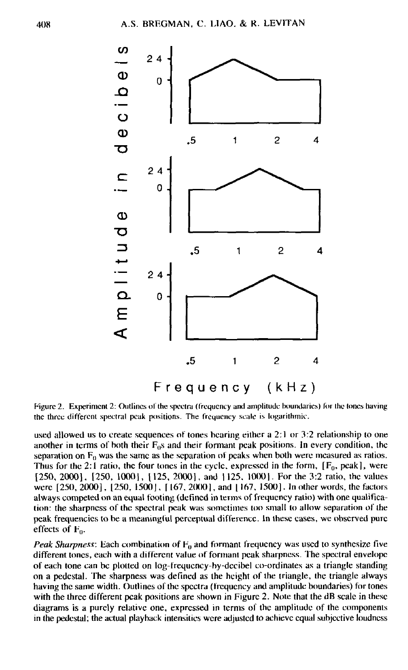

Figure 2. Experiment 2: Outlines of the spectra (frequency and amplitude boundaries) for the tones having the three different spectral peak positions. The frequency scale is logarithmic.

used allowed us to create sequences of tones bearing either a 2:1 or 3:2 relationship to one another in terms of both their  $F_0s$  and their formant peak positions. In every condition, the separation on  $F_0$  was the same as the separation of peaks when both were measured as ratios. Thus for the 2:1 ratio, the four tones in the cycle, expressed in the form,  $[F_0, peak]$ , were [250, 2000], [250, 1000], [125, 2000], and [125, 1000]. For the 3:2 ratio, the values were [250, 2000], [250, 1500], [167, 2000], and [167, 1500]. In other words, the factors always competed on an equal footing (defined in terms of frequency ratio) with one qualification: the sharpness of the spectral peak was sometimes loo small to allow separation *of* the peak frequencies to be a meaningful perceptual difference. In these eases, we observed pure effects of  $F_0$ .

*Peak Sharpness:* Each combination of  $F_0$  and formant frequency was used to synthesize five different tones, each with a different value of formant peak sharpness. The spectral envelope of each tone can be plotted on log-lrequcncy-by-dccibel co-ordinates as a triangle standing on a pedestal. The sharpness was defined as the height of the triangle, the triangle always having the same width. Outlines of the spectra (frequency and amplitude boundaries) for tones with the three different peak positions are shown in Figure 2. Note that the dB scale in these diagrams is a purely relative one, expressed in terms of the amplitude of the components in the pedestal; the actual playback intensities were adjusted to achieve equal subjective loudncss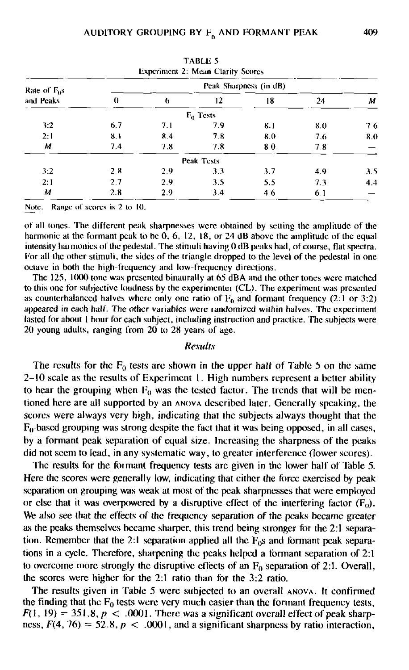|                |          |                        | <b>Experiment 2: Mean Clarity Scores</b> |     |     |     |  |  |
|----------------|----------|------------------------|------------------------------------------|-----|-----|-----|--|--|
| Rate of $F_0s$ |          | Peak Sharpness (in dB) |                                          |     |     |     |  |  |
| and Peaks      | $\theta$ | 6                      | 12                                       | 18  | 24  | м   |  |  |
|                |          |                        | $F_0$ Tests                              |     |     |     |  |  |
| 3:2            | 6.7      | 7.1                    | 7.9                                      | 8.1 | 8.0 | 7.6 |  |  |
| 2:1            | 8.1      | 8.4                    | 7.8                                      | 8.0 | 7.6 | 8.0 |  |  |
| М              | 7.4      | 7.8                    | 7.8                                      | 8.0 | 7.8 |     |  |  |
|                |          |                        | Peak Tests                               |     |     |     |  |  |
| 3:2            | 2.8      | 2.9                    | 3.3                                      | 3.7 | 4.9 | 3.5 |  |  |
| 2:1            | 2.7      | 2.9                    | 3.5                                      | 5.5 | 7.3 | 4.4 |  |  |
| м              | 2.8      | 2.9                    | 3.4                                      | 4.6 | 6.1 |     |  |  |

TABLli 5

Note. Range of scores is 2 to 10.

of all tones. The different peak sharpnesses were obtained by setting the amplitude of the harmonic at the formant peak to be 0, 6, 12, 18, or 24 dB above the amplitude of the equal intensity harmonics of the pedestal. The stimuli having 0 dB peaks had, of course, flat spectra. For all the other stimuli, the sides of the triangle dropped to the level of the pedestal in one octave in both the high-frequency and low-frequency directions.

The 125, 1000 tone was presented binaurally at 65 dBA and the other tones were matched to this one for subjective loudness by the experimenter (CL). The experiment was presented as counterbalanced halves where only one ratio of  $F_0$  and formant frequency (2:1 or 3:2) appeared in each half. The other variables were randomized within halves. The experiment lasted for about I hour for each subject, including instruction and practice. The subjects were 20 young adults, ranging from 20 to 28 years of age.

#### *Results*

The results for the  $F_0$  tests are shown in the upper half of Table 5 on the same 2-10 scale as the results of Experiment 1. High numbers represent a better ability to hear the grouping when  $F_0$  was the tested factor. The trends that will be mentioned here are all supported by an ANOVA described later. Generally speaking, the scores were always very high, indicating that the subjects always thought that the  $F_0$ -based grouping was strong despite the fact that it was being opposed, in all cases, by a formant peak separation of equal size. Increasing the sharpness of the peaks did not seem to lead, in any systematic way, to greater interference (lower scores).

The results for the formant frequency tests arc given in the lower half of Table 5. Here the scores were generally low, indicating that either the force exercised by peak separation on grouping was weak at most of the peak sharpnesses that were employed or else that it was overpowered by a disruptive effect of the interfering factor  $(F_0)$ . We also see that the effects of the frequency separation of the peaks became greater as the peaks themselves became sharper, this trend being stronger for the 2:1 separation. Remember that the 2:1 separation applied all the  $F_0s$  and formant peak separations in a cycle. Therefore, sharpening the peaks helped a formant separation of 2:1 to overcome more strongly the disruptive effects of an  $F_0$  separation of 2:1. Overall, the scores were higher for the 2:1 ratio than for the 3:2 ratio.

The results given in Table 5 were subjected to an overall ANOVA. It confirmed the finding that the  $F_0$  tests were very much easier than the formant frequency tests,  $F(1, 19) = 351.8, p < .0001$ . There was a significant overall effect of peak sharpness,  $F(4, 76) = 52.8$ ,  $p < .0001$ , and a significant sharpness by ratio interaction,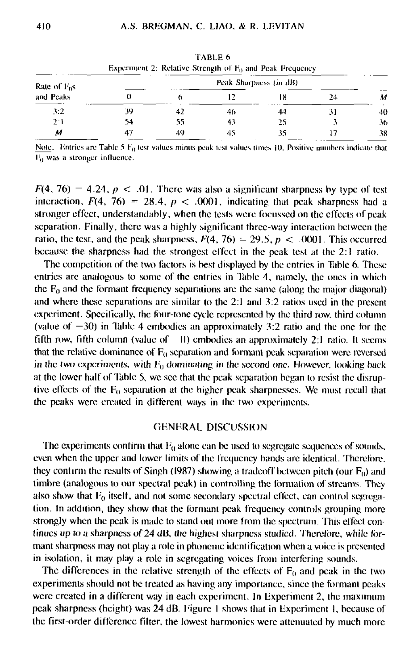|                            |                        |    |    | Experiment 2: Relative Strength of $F_0$ and Peak Frequency |    |    |
|----------------------------|------------------------|----|----|-------------------------------------------------------------|----|----|
| Rate of $F0s$<br>and Peaks | Peak Sharpness (in dB) |    |    |                                                             |    |    |
|                            |                        |    |    |                                                             | 24 | м  |
| 3.2                        | 39                     |    | 46 | 44                                                          |    | 40 |
| 2:1                        | 54                     | 55 | 43 | 25                                                          |    | 36 |
| М                          |                        | 49 |    |                                                             |    | 38 |

TABLE 6

Note. Entries are Table 5  $F_0$  test values minus peak test values times 10. Positive numbers indicate that I'd was a stronger influence.

 $F(4, 76) = 4.24$ ,  $p < .01$ . There was also a significant sharpness by type of test interaction,  $F(4, 76) = 28.4$ ,  $p < .0001$ , indicating that peak sharpness had a stronger effect, understandably, when the tests were focussed on the effects of peak separation. Finally, there was a highly significant three-way interaction between the ratio, the test, and the peak sharpness,  $F(4, 76) = 29.5$ ,  $p < .0001$ . This occurred because the sharpness had the strongest effect in the peak test at the 2:1 ratio.

The competition of the two factors is best displayed by the entries in Table 6. These entries are analogous to some of the entries in lable 4, namely, the ones in which the  $F_0$  and the formant frequency separations are the same (along the major diagonal) and where these separations are similar to the 2:1 and 3:2 ratios used in the present experiment. Specifically, the tour-tone cycle represented by the third row, third column (value of  $-30$ ) in Table 4 embodies an approximately 3:2 ratio and the one for the fifth row, fifth column (value of II) embodies an approximately 2:1 ratio. It seems that the relative dominance of  $F_0$  separation and formant peak separation were reversed in the two experiments, with  $F_0$  dominating in the second one. However, looking back at the lower half of Table 5, we sec that the peak separation began to resist the disruptive effects of the  $F_0$  separation at the higher peak sharpnesses. We must recall that the peaks were created in different ways in ihc two experiments.

#### GENERAL DISCUSSION

The experiments confirm that  $F_0$  alone can be used to segregate sequences of sounds, even when the upper and lower limits of ihe frequency bands are identical. Therefore, they confirm the results of Singh (1987) showing a tradeoff between pitch (our  $F_0$ ) and timbre (analogous to our spectral peak) in controlling the formation of streams. They also show that  $F_0$  itself, and not some secondary spectral effect, can control segregation. In addition, they show that the Ibrmant peak frequency controls grouping more strongly when the peak is made to stand out more from the spectrum. This effect continues up to a sharpness of 24 dB, the highest sharpness studied. Therefore, while formant sharpness may not play a role in phoneme identification when a voice is presented in isolation, it may play a role in segregating voices from interfering sounds.

The differences in the relative strength of the effects of  $F_0$  and peak in the two experiments should not be treated as having any importance, since the formant peaks were created in a different way in each experiment. In Experiment 2, the maximum peak sharpness (height) was 24 dB. Figure I shows that in Experiment I, because of the first-order difference filter, the lowest harmonics were attenuated by much more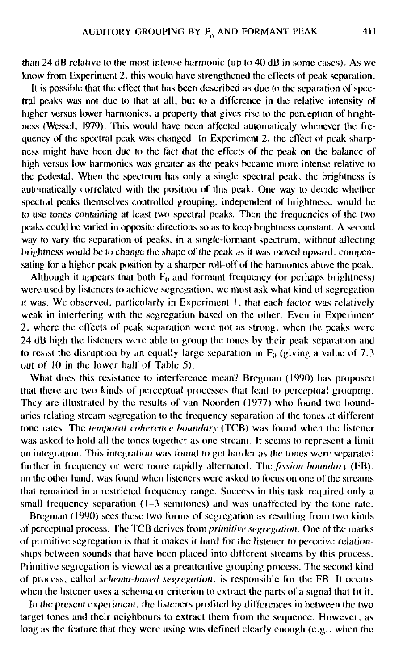than 24 dB relative to the most intense harmonic (up lo 40 dB in some eases). As we know from Experiment 2, this would have strengthened the effects of peak separation.

It is possible that the effect that has been described as due to the separation of spectral peaks was not due to that at all. but to a difference in the relative intensity of higher versus lower harmonics, a property that gives rise to the perception of brightness (Wesscl, 1979). This would have been affected automaticaly whenever the frequency of the spectral peak was changed. In Experiment 2, the effect of peak sharpness might have been due to the fact that the effects of the peak on the balance of high versus low harmonics was greater as the peaks became more intense relative to the pedestal. When the spectrum has only a single spectral peak, the brightness is automatically correlated with the position of this peak. One way to decide whether spectral peaks themselves controlled grouping, independent of brightness, would be to use tones containing at least two spectral peaks. Then the frequencies of the two peaks could be varied in opposite directions so as to keep brightness constant. A second way to vary the separation of peaks, in a single-formant spectrum, without affecting brightness would be to change the shape of the peak as it was moved upward, compensating for a higher peak position by a sharper roll-off of the harmonics above the peak.

Although it appears that both  $F_0$  and formant frequency (or perhaps brightness) were used by listeners to achieve segregation, we must ask what kind of segregation it was. We observed, particularly in Experiment I, that each factor was relatively weak in interfering with the segregation based on the other. Even in Experiment 2, where the effects of peak separation were not as strong, when the peaks were 24 dB high the listeners were able to group the tones by their peak separation and to resist the disruption by an equally large separation in  $F_0$  (giving a value of 7.3 out of 10 in the lower half of Table 5).

What does this resistance to interference mean? Brcgman (1990) has proposed that there are two kinds of perceptual processes that lead to perceptual grouping. They are illustrated by the results of van Noorden (1977) who found two boundaries relating stream segregation to the frequency separation of the tones at different tone rates. The *temporal coherence boundary* (TCB) was found when the listener was asked to hold all the tones together as one stream. It seems to represent a limit on integration. This integration was found to gel harder as the tones were separated further in frequency or were more rapidly alternated. The *fission houndar\* (FB), on the other hand, was found when listeners were asked lo focus on one of the streams that remained in a restricted frequency range. Success in this task required only a small frequency separation (1-3 semitones) and was unaffected by the tone rate.

Bregman (1990) sees these two forms of segregation as resulting from two kinds of perceptual process. The TCB derives from *primitive segregation.* One of the marks of primitive segregation is that it makes it hard for the listener to perceive relationships between sounds that have been placed into different streams by this process. Primitive segregation is viewed as a prcattenlive grouping process. The second kind of process, called *schema-based segregation,* is responsible for the FB. It occurs when the listener uses a schema or criterion to extract the parts of a signal that fit it.

In the present experiment, the listeners profited by differences in between the two target tones and their neighbours to extract them from the sequence. However, as long as the feature that they were using was defined clearly enough (e.g., when the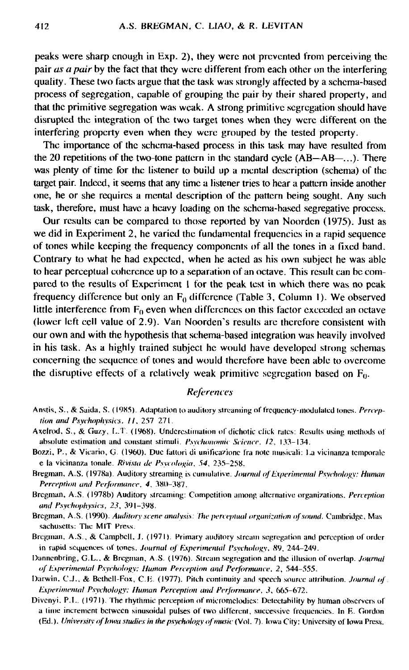peaks were sharp enough in Exp. 2), they were not prevented from perceiving the pair *as a pair* by the fact that they were different from each other on the interfering quality. These two facts argue that the task was strongly affected by a schema-based process of segregation, capable of grouping the pair by their shared property, and that the primitive segregation was weak. A strong primitive segregation should have disrupted the integration of the two target tones when they were different on the interfering property even when they were grouped by the tested property.

The importance of the schema-based process in this task may have resulted from the 20 repetitions of the two-tone pattern in the standard cycle (AB—AB—...). There was plenty of time for the listener to build up a mental description (schema) of the target pair. Indeed, it seems that any time a listener tries to hear a pattern inside another one, he or she requires a mental description of the pattern being sought. Any such task, therefore, must have a heavy loading on the schema-based segregative process.

Our results can be compared to those reported by van Noorden (1975). Just as we did in Experiment 2, he varied the fundamental frequencies in a rapid sequence of tones while keeping the frequency components of all the tones in a fixed band. Contrary to what he had expected, when he acted as his own subject he was able to hear perceptual coherence up to a separation of an octave. This result can be compared to the results of Experiment 1 for the peak test in which there was no peak frequency difference but only an  $F_0$  difference (Table 3, Column 1). We observed little interference from  $F_0$  even when differences on this factor exceeded an octave (lower left cell value of 2.9). Van Noorden's results are therefore consistent with our own and with the hypothesis that schema-based integration was heavily involved in his task. As a highly trained subject he would have developed strong schemas concerning the sequence of tones and would therefore have been able to overcome the disruptive effects of a relatively weak primitive segregation based on  $F_0$ .

## *References*

- Anstis, S., & Saida. S. (19X5). Adaptation to auditory streaming ol'frequency-modulated tones. *Perception and Psychophysics, 11, 257 271.*
- Axelrod, S., & Guzy, L.T. (1968). Underestimation of dichotic click rates: Results using methods of absolute estimation and constant stimuli. *I'sychonomic Science. 12,* 133-134.
- Bozzi, P., & Vicario, G. (1960). Due fattori di unificazione fra note musicali: La vicinanza temporale e la vicinanza tonale. *Rivista de Psycologia. 54,* 235-258.
- Bregman, A.S. (1978a). Auditory streaming is cumulative. *Journal ofExperimental Psychology: Human Perception and Performance. 4.* 380-387.
- Bregman, A.S. (1978b) Auditory streaming: Competition among alternative organizations. *Perception and Psychophysics, 23,* 391-398.
- Bregman, A.S. (1990). *Auditory scene analysis: The perceptual organization of sound.* Cambridge, Mas saehusctts: The MIT Press.
- Bregman, A.S., & Campbell, J. (1971). Primary auditory stream segregation and perception of order in rapid sequences of tones. *Journal of Experimental I'swhohgy. X9,* 244-249.
- Dannenbring, G.L., & Bregman, AS. (1976). Stream segregation and the illusion of overlap. *Journal of Experimental Psychology: Human Perception and Performance. 2,* 544-555.
- Darwin. C,J., & Beihcll-Fox, C.li. (1977). Pitch continuity and speech source attribution. *Journal of Experimental Psychology: Human Perception and Performance*, 3, 665-672.
- Divenyi. P.L. (1971). The rhythmic perception of micromclodies: Detectability by human observers of a lime increment between sinusoidal pulses of two different, successive frequencies. In R. Gordon (Ed.). University of lowa studies in the psychology of music (Vol. 7). Iowa City: University of Iowa Press.